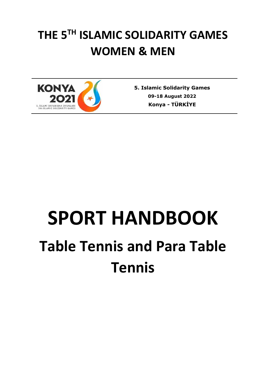# **THE 5TH ISLAMIC SOLIDARITY GAMES WOMEN & MEN**



**5. Islamic Solidarity Games 09-18 August 2022 Konya** *-* **TÜRKİYE**

# **SPORT HANDBOOK Table Tennis and Para Table Tennis**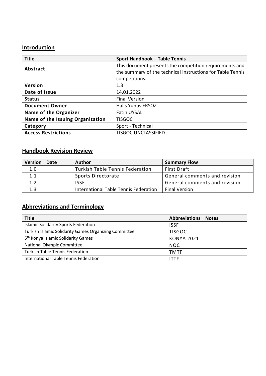# **Introduction**

| <b>Title</b>                     | <b>Sport Handbook - Table Tennis</b>                       |
|----------------------------------|------------------------------------------------------------|
| <b>Abstract</b>                  | This document presents the competition requirements and    |
|                                  | the summary of the technical instructions for Table Tennis |
|                                  | competitions.                                              |
| Version                          | 1.3                                                        |
| Date of Issue                    | 14.01.2022                                                 |
| <b>Status</b>                    | <b>Final Version</b>                                       |
| <b>Document Owner</b>            | <b>Halis Yunus ERSOZ</b>                                   |
| Name of the Organizer            | <b>Fatih UYSAL</b>                                         |
| Name of the Issuing Organization | <b>TISGOC</b>                                              |
| Category                         | Sport - Technical                                          |
| <b>Access Restrictions</b>       | <b>TISGOC UNCLASSIFIED</b>                                 |

# **Handbook Revision Review**

| <b>Version</b> | Date | <b>Author</b>                         | <b>Summary Flow</b>           |
|----------------|------|---------------------------------------|-------------------------------|
| 1.0            |      | Turkish Table Tennis Federation       | <b>First Draft</b>            |
| 1.1            |      | Sports Directorate                    | General comments and revision |
| 1.2            |      | ISSF                                  | General comments and revision |
| 1.3            |      | International Table Tennis Federation | <b>Final Version</b>          |

# **Abbreviations and Terminology**

| <b>Title</b>                                                 | <b>Abbreviations</b> | <b>Notes</b> |
|--------------------------------------------------------------|----------------------|--------------|
| <b>Islamic Solidarity Sports Federation</b>                  | <b>ISSF</b>          |              |
| <b>Turkish Islamic Solidarity Games Organizing Committee</b> | <b>TISGOC</b>        |              |
| 5 <sup>th</sup> Konya Islamic Solidarity Games               | <b>KONYA 2021</b>    |              |
| <b>National Olympic Committee</b>                            | NOC.                 |              |
| <b>Turkish Table Tennis Federation</b>                       | <b>TMTF</b>          |              |
| International Table Tennis Federation                        | <b>ITTF</b>          |              |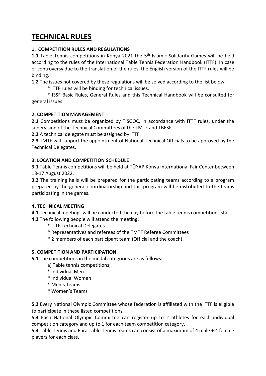# **TECHNICAL RULES**

# **1. COMPETITION RULES AND REGULATIONS**

1.1 Table Tennis competitions in Konya 2021 the 5<sup>th</sup> Islamic Solidarity Games will be held according to the rules of the International Table Tennis Federation Handbook (ITTF). In case of controversy due to the translation of the rules, the English version of the ITTF rules will be binding.

**1.2** The issues not covered by these regulations will be solved according to the list below:

\* ITTF rules will be binding for technical issues.

\* ISSF Basic Rules, General Rules and this Technical Handbook will be consulted for general issues.

# **2. COMPETITION MANAGEMENT**

**2.1** Competitions must be organized by TISGOC, in accordance with ITTF rules, under the supervision of the Technical Committees of the TMTF and TBESF.

**2.2** A technical delegate must be assigned by ITTF.

**2.3** TMTF will support the appointment of National Technical Officials to be approved by the Technical Delegates.

# **3. LOCATION AND COMPETITION SCHEDULE**

**3.1** Table Tennis competitions will be held at TÜYAP Konya International Fair Center between 13-17 August 2022.

**3.2** The training halls will be prepared for the participating teams according to a program prepared by the general coordinatorship and this program will be distributed to the teams participating in the games.

#### **4. TECHNICAL MEETING**

**4.1** Technical meetings will be conducted the day before the table tennis competitions start. **4.2** The following people will attend the meeting:

- \* ITTF Technical Delegates
- \* Representatives and referees of the TMTF Referee Committees
- \* 2 members of each participant team (Official and the coach)

# **5. COMPETITION AND PARTICIPATION**

**5.1** The competitions in the medal categories are as follows:

- a) Table tennis competitions;
- \* Individual Men
- \* Individual Women
- \* Men's Teams
- \* Women's Teams

**5.2** Every National Olympic Committee whose federation is affiliated with the ITTF is eligible to participate in these listed competitions.

**5.3** Each National Olympic Committee can register up to 2 athletes for each individual competition category and up to 1 for each team competition category.

**5.4** Table Tennis and Para Table Tennis teams can consist of a maximum of 4 male + 4 female players for each class.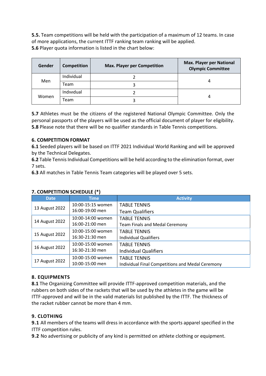**5.5.** Team competitions will be held with the participation of a maximum of 12 teams. In case of more applications, the current ITTF ranking team ranking will be applied. **5.6** Player quota information is listed in the chart below:

| Gender | <b>Competition</b> | <b>Max. Player per Competition</b> | <b>Max. Player per National</b><br><b>Olympic Committee</b> |
|--------|--------------------|------------------------------------|-------------------------------------------------------------|
|        | Individual         |                                    |                                                             |
| Men    | Team               |                                    |                                                             |
|        | Individual         |                                    |                                                             |
| Women  | Team               |                                    |                                                             |

**5.7** Athletes must be the citizens of the registered National Olympic Committee. Only the personal passports of the players will be used as the official document of player for eligibility. **5.8** Please note that there will be no qualifier standards in Table Tennis competitions.

# **6. COMPETITION FORMAT**

**6.1** Seeded players will be based on ITTF 2021 Individual World Ranking and will be approved by the Technical Delegates.

**6.2** Table Tennis Individual Competitions will be held according to the elimination format, over 7 sets.

**6.3** All matches in Table Tennis Team categories will be played over 5 sets.

| <b>Date</b>    | <b>Time</b>       | <b>Activity</b>                                  |
|----------------|-------------------|--------------------------------------------------|
| 13 August 2022 | 10:00-15:15 women | <b>TABLE TENNIS</b>                              |
|                | 16:00-19:00 men   | <b>Team Qualifiers</b>                           |
|                | 10:00-14:00 women | <b>TABLE TENNIS</b>                              |
| 14 August 2022 | 16:00-21:00 men   | <b>Team Finals and Medal Ceremony</b>            |
| 15 August 2022 | 10:00-15:00 women | <b>TABLE TENNIS</b>                              |
|                | 16:30-21:30 men   | <b>Individual Qualifiers</b>                     |
| 16 August 2022 | 10:00-15:00 women | <b>TABLE TENNIS</b>                              |
|                | 16:30-21:30 men   | <b>Individual Qualifiers</b>                     |
| 17 August 2022 | 10:00-15:00 women | <b>TABLE TENNIS</b>                              |
|                | 10:00-15:00 men   | Individual Final Competitions and Medal Ceremony |

#### **7. COMPETITION SCHEDULE (\*)**

# **8. EQUIPMENTS**

**8.1** The Organizing Committee will provide ITTF-approved competition materials, and the rubbers on both sides of the rackets that will be used by the athletes in the game will be ITTF-approved and will be in the valid materials list published by the ITTF. The thickness of the racket rubber cannot be more than 4 mm.

# **9. CLOTHING**

**9.1** All members of the teams will dress in accordance with the sports apparel specified in the ITTF competition rules.

**9.2** No advertising or publicity of any kind is permitted on athlete clothing or equipment.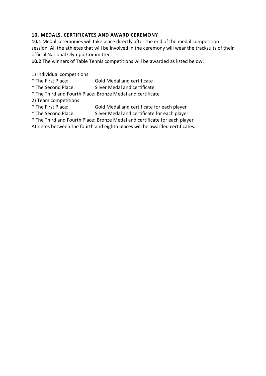# **10. MEDALS, CERTIFICATES AND AWARD CEREMONY**

**10.1** Medal ceremonies will take place directly after the end of the medal competition session. All the athletes that will be involved in the ceremony will wear the tracksuits of their official National Olympic Committee.

**10.2** The winners of Table Tennis competitions will be awarded as listed below:

1) Individual competitions

- \* The First Place: Gold Medal and certificate
- \* The Second Place: Silver Medal and certificate
- \* The Third and Fourth Place: Bronze Medal and certificate

2) Team competitions

- \* The First Place: Gold Medal and certificate for each player
	- Silver Medal and certificate for each player
- \* The Third and Fourth Place: Bronze Medal and certificate for each player

Athletes between the fourth and eighth places will be awarded certificates.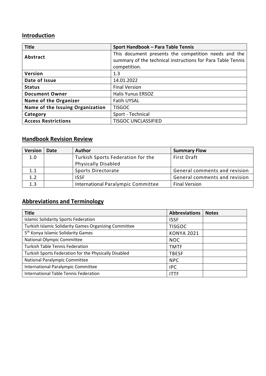# **Introduction**

| <b>Title</b>                     | Sport Handbook - Para Table Tennis                          |
|----------------------------------|-------------------------------------------------------------|
| Abstract                         | This document presents the competition needs and the        |
|                                  | summary of the technical instructions for Para Table Tennis |
|                                  | competition.                                                |
| Version                          | 1.3                                                         |
| Date of Issue                    | 14.01.2022                                                  |
| <b>Status</b>                    | <b>Final Version</b>                                        |
| <b>Document Owner</b>            | <b>Halis Yunus ERSOZ</b>                                    |
| <b>Name of the Organizer</b>     | <b>Fatih UYSAL</b>                                          |
| Name of the Issuing Organization | <b>TISGOC</b>                                               |
| Category                         | Sport - Technical                                           |
| <b>Access Restrictions</b>       | <b>TISGOC UNCLASSIFIED</b>                                  |

# **Handbook Revision Review**

| <b>Version</b> | <b>Date</b> | <b>Author</b>                      | <b>Summary Flow</b>           |
|----------------|-------------|------------------------------------|-------------------------------|
| 1.0            |             | Turkish Sports Federation for the  | <b>First Draft</b>            |
|                |             | <b>Physically Disabled</b>         |                               |
| 1.1            |             | Sports Directorate                 | General comments and revision |
| 1.2            |             | <b>ISSF</b>                        | General comments and revision |
| 1.3            |             | International Paralympic Committee | <b>Final Version</b>          |

# **Abbreviations and Terminology**

| <b>Title</b>                                          | <b>Abbreviations</b> | <b>Notes</b> |
|-------------------------------------------------------|----------------------|--------------|
| <b>Islamic Solidarity Sports Federation</b>           | <b>ISSF</b>          |              |
| Turkish Islamic Solidarity Games Organizing Committee | <b>TISGOC</b>        |              |
| 5 <sup>th</sup> Konya Islamic Solidarity Games        | <b>KONYA 2021</b>    |              |
| <b>National Olympic Committee</b>                     | <b>NOC</b>           |              |
| <b>Turkish Table Tennis Federation</b>                | <b>TMTF</b>          |              |
| Turkish Sports Federation for the Physically Disabled | <b>TBESF</b>         |              |
| National Paralympic Committee                         | <b>NPC</b>           |              |
| International Paralympic Committee                    | <b>IPC</b>           |              |
| International Table Tennis Federation                 | <b>ITTF</b>          |              |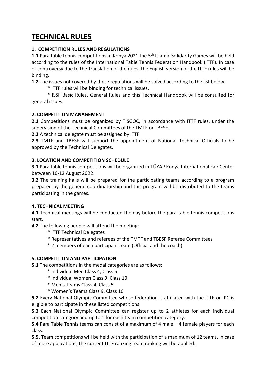# **TECHNICAL RULES**

# **1. COMPETITION RULES AND REGULATIONS**

1.1 Para table tennis competitions in Konya 2021 the 5<sup>th</sup> Islamic Solidarity Games will be held according to the rules of the International Table Tennis Federation Handbook (ITTF). In case of controversy due to the translation of the rules, the English version of the ITTF rules will be binding.

**1.2** The issues not covered by these regulations will be solved according to the list below:

\* ITTF rules will be binding for technical issues.

\* ISSF Basic Rules, General Rules and this Technical Handbook will be consulted for general issues.

# **2. COMPETITION MANAGEMENT**

**2.1** Competitions must be organized by TISGOC, in accordance with ITTF rules, under the supervision of the Technical Committees of the TMTF or TBESF.

**2.2** A technical delegate must be assigned by ITTF.

**2.3** TMTF and TBESF will support the appointment of National Technical Officials to be approved by the Technical Delegates.

# **3. LOCATION AND COMPETITION SCHEDULE**

**3.1** Para table tennis competitions will be organized in TÜYAP Konya International Fair Center between 10-12 August 2022.

**3.2** The training halls will be prepared for the participating teams according to a program prepared by the general coordinatorship and this program will be distributed to the teams participating in the games.

#### **4. TECHNICAL MEETING**

**4.1** Technical meetings will be conducted the day before the para table tennis competitions start.

**4.2** The following people will attend the meeting:

- \* ITTF Technical Delegates
- \* Representatives and referees of the TMTF and TBESF Referee Committees
- \* 2 members of each participant team (Official and the coach)

#### **5. COMPETITION AND PARTICIPATION**

**5.1** The competitions in the medal categories are as follows:

- \* Individual Men Class 4, Class 5
- \* Individual Women Class 9, Class 10
- \* Men's Teams Class 4, Class 5
- \* Women's Teams Class 9, Class 10

**5.2** Every National Olympic Committee whose federation is affiliated with the ITTF or IPC is eligible to participate in these listed competitions.

**5.3** Each National Olympic Committee can register up to 2 athletes for each individual competition category and up to 1 for each team competition category.

**5.4** Para Table Tennis teams can consist of a maximum of 4 male + 4 female players for each class.

**5.5.** Team competitions will be held with the participation of a maximum of 12 teams. In case of more applications, the current ITTF ranking team ranking will be applied.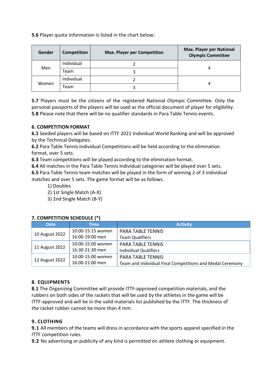**5.6** Player quota information is listed in the chart below:

| Gender | <b>Competition</b> | <b>Max. Player per Competition</b> | <b>Max. Player per National</b><br><b>Olympic Committee</b> |
|--------|--------------------|------------------------------------|-------------------------------------------------------------|
|        | Individual         |                                    |                                                             |
| Men    | Team               |                                    |                                                             |
|        | Individual         |                                    |                                                             |
| Women  | Team               |                                    |                                                             |

**5.7** Players must be the citizens of the registered National Olympic Committee. Only the personal passports of the players will be used as the official document of player for eligibility. **5.8** Please note that there will be no qualifier standards in Para Table Tennis events.

#### **6. COMPETITION FORMAT**

**6.1** Seeded players will be based on ITTF 2021 Individual World Ranking and will be approved by the Technical Delegates.

**6.2** Para Table Tennis Individual Competitions will be held according to the elimination format, over 5 sets.

**6.3** Team competitions will be played according to the elimination format.

**6.4** All matches in the Para Table Tennis Individual categories will be played over 5 sets.

**6.5** Para Table Tennis team matches will be played in the form of winning 2 of 3 individual matches and over 5 sets. The game format will be as follows.

1) Doubles

2) 1st Single Match (A-X)

3) 2nd Single Match (B-Y)

| <b>Date</b>    | Time i            | <b>Activity</b>                                           |
|----------------|-------------------|-----------------------------------------------------------|
|                | 10:00-15:15 women | <b>PARA TABLE TENNIS</b>                                  |
| 10 August 2022 | 16:00-19:00 men   | <b>Team Qualifiers</b>                                    |
| 11 August 2022 | 10:00-15:00 women | <b>PARA TABLE TENNIS</b>                                  |
|                | 16:30-21:30 men   | <b>Individual Qualifiers</b>                              |
| 12 August 2022 | 10:00-15:00 women | <b>PARA TABLE TENNIS</b>                                  |
|                | 16:00-21:00 men   | Team and Individual Final Competitions and Medal Ceremony |

#### **7. COMPETITION SCHEDULE (\*)**

#### **8. EQUIPMENTS**

**8.1** The Organizing Committee will provide ITTF-approved competition materials, and the rubbers on both sides of the rackets that will be used by the athletes in the game will be ITTF-approved and will be in the valid materials list published by the ITTF. The thickness of the racket rubber cannot be more than 4 mm.

# **9. CLOTHING**

**9.1** All members of the teams will dress in accordance with the sports apparel specified in the ITTF competition rules.

**9.2** No advertising or publicity of any kind is permitted on athlete clothing or equipment.